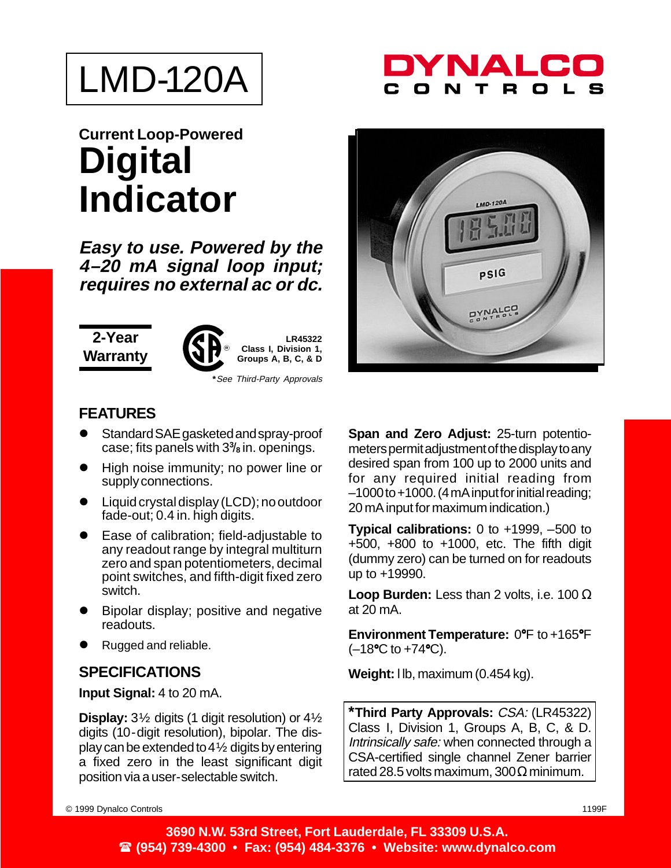

## **Current Loop-Powered Digital Indicator**

**Easy to use. Powered by the 4–20 mA signal loop input; requires no external ac or dc.**

**2-Year Warranty**



**LR45322 Class I, Division 1, Groups A, B, C, & D**

**\***See Third-Party Approvals

**FEATURES**

- Standard SAE gasketed and spray-proof case; fits panels with 3**<sup>3</sup>** /**8** in. openings.
- High noise immunity; no power line or supply connections.
- Liquid crystal display (LCD); no outdoor fade-out; 0.4 in. high digits.
- Ease of calibration; field-adjustable to any readout range by integral multiturn zero and span potentiometers, decimal point switches, and fifth-digit fixed zero switch.
- Bipolar display; positive and negative readouts.
- Rugged and reliable.

## **SPECIFICATIONS**

**Input Signal:** 4 to 20 mA.

**Display:** 3½ digits (1 digit resolution) or 4½ digits (10-digit resolution), bipolar. The display can be extended to  $4\frac{1}{2}$  digits by entering a fixed zero in the least significant digit position via a user-selectable switch.



NAL



**Span and Zero Adjust:** 25-turn potentiometers permit adjustment of the display to any desired span from 100 up to 2000 units and for any required initial reading from –1000 to +1000. (4 mA input for initial reading; 20 mA input for maximum indication.)

**Typical calibrations:** 0 to +1999, –500 to +500, +800 to +1000, etc. The fifth digit (dummy zero) can be turned on for readouts up to +19990.

**Loop Burden:** Less than 2 volts, i.e. 100 Ω at 20 mA.

**Environment Temperature:** 0°F to +165°F  $(-18$ °C to  $+74$ °C).

**Weight:** l lb, maximum (0.454 kg).

**\*Third Party Approvals:** CSA: (LR45322) Class I, Division 1, Groups A, B, C, & D. Intrinsically safe: when connected through a CSA-certified single channel Zener barrier rated 28.5 volts maximum,  $300\Omega$  minimum.

© 1999 Dynalco Controls 1199F